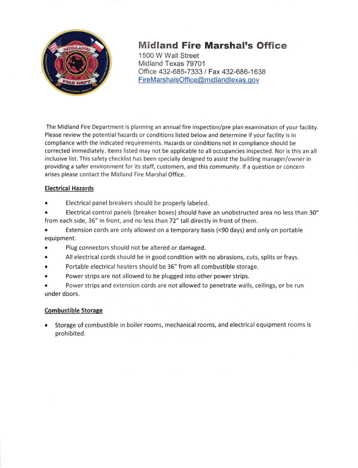

# Midland Fire Marshal's Office

1500 W Wall Street Midland Texas 79701 Office 432-685-7333 / Fax 432-686-1638 FireMarshalsOffice@midlandtexas.gov

The Midland Fire Department is planning an annual fire inspection/pre plan examlnation of your facility Please review the potential hazards or conditions listed below and determine if your facility is in compliance with the indicated requirements. Hazards or conditions not in compliance should be corrected immediately. ltems listed may not be applicable to all occupancies inspected. Nor is this an all inclusive list. This safety checklist has been specially designed to assist the building manager/owner in providing a safer environment for its staff, customers, and this community. lf a question or concern arises please contact the Midland Fire Marshal Office.

# Electrical Hazards

. Electrical panel breakers should be properly labeled.

. Electrical control panels (breaker boxes) should have an unobstructed area no less than 30" from each side, 35" in front, and no less than 72" tall directly in front of them.

- . Extension cords are only allowed on a temporary basis (<90 days) and only on portable equipment.
- o Plug connectors should not be altered or damaged.
- o All electrical cords should be in good condition with no abrasions, cuts, splits or frays.
- o Portable electrical heaters should be 36" from all combustible storage.
- Power strips are not allowed to be plugged into other power strips.

. Power strips and extension cords are not allowed to penetrate walls, ceilings, or be run under doors.

#### Combustible Storage

Storage of combustible in boiler rooms, mechanical rooms, and electrical equipment rooms is prohibited.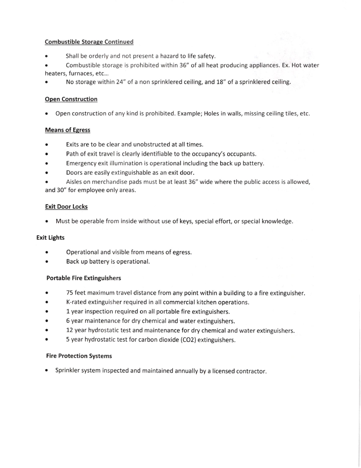#### Combustible Storage Continued

- . Shall be orderly and not present a hazard to life safety.
- . Combustible storage is prohibited within 35" of all heat producing appliances. Ex. Hot water heaters, furnaces, etc...
- No storage within 24" of a non sprinklered ceiling, and 18" of a sprinklered ceiling.

# **Open Construction**

. Open construction of any kind is prohibited. Example; Holes in walls, missing ceiling tiles, etc.

# Means of Egress

- . Exits are to be clear and unobstructed at all times.
- o Path of exit travel is clearly identifiable to the occupancy's occupants.
- . Emergency exit illumination is operational including the back up battery.
- . Doors are easily extinguishable as an exit door.
- Aisles on merchandise pads must be at least 36" wide where the public access is allowed, and 30" for employee only areas.

#### Exit Door Locks

. Must be operable from inside without use of keys, special effort, or special knowledge.

# Exit Lights

- Operational and visible from means of egress. a
- Back up battery is operational.  $\bullet$

# Portable Fire Extinguishers

- 75 feet maximum travel distance from any point within a building to a fire extinguisher.  $\bullet$
- K-rated extinguisher required in allcommercial kitchen operations.
- l year inspection required on all portable fire extinguishers. a
- 6 year maintenance for dry chemical and water extinguishers.  $\bullet$
- 12 year hydrostatic test and maintenance for dry chemical and water extinguishers.
- 5 year hydrostatic test for carbon dioxide (CO2) extinguishers.

#### Fire Protection Systems

. Sprinkler system inspected and maintained annually by a licensed contractor.